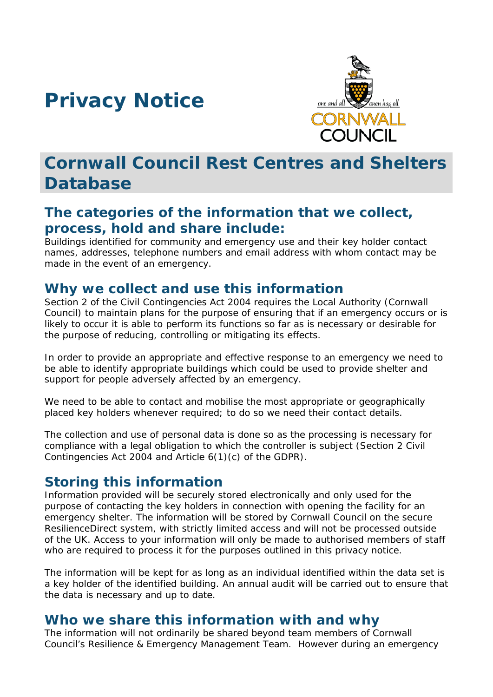# **Privacy Notice**



## **Cornwall Council Rest Centres and Shelters Database**

#### **The categories of the information that we collect, process, hold and share include:**

Buildings identified for community and emergency use and their key holder contact names, addresses, telephone numbers and email address with whom contact may be made in the event of an emergency.

#### **Why we collect and use this information**

Section 2 of the Civil Contingencies Act 2004 requires the Local Authority (Cornwall Council) to maintain plans for the purpose of ensuring that if an emergency occurs or is likely to occur it is able to perform its functions so far as is necessary or desirable for the purpose of reducing, controlling or mitigating its effects.

In order to provide an appropriate and effective response to an emergency we need to be able to identify appropriate buildings which could be used to provide shelter and support for people adversely affected by an emergency.

We need to be able to contact and mobilise the most appropriate or geographically placed key holders whenever required; to do so we need their contact details.

The collection and use of personal data is done so as the processing is necessary for compliance with a legal obligation to which the controller is subject (Section 2 Civil Contingencies Act 2004 and Article 6(1)(c) of the GDPR).

#### **Storing this information**

Information provided will be securely stored electronically and only used for the purpose of contacting the key holders in connection with opening the facility for an emergency shelter. The information will be stored by Cornwall Council on the secure ResilienceDirect system, with strictly limited access and will not be processed outside of the UK. Access to your information will only be made to authorised members of staff who are required to process it for the purposes outlined in this privacy notice.

The information will be kept for as long as an individual identified within the data set is a key holder of the identified building. An annual audit will be carried out to ensure that the data is necessary and up to date.

#### **Who we share this information with and why**

The information will not ordinarily be shared beyond team members of Cornwall Council's Resilience & Emergency Management Team. However during an emergency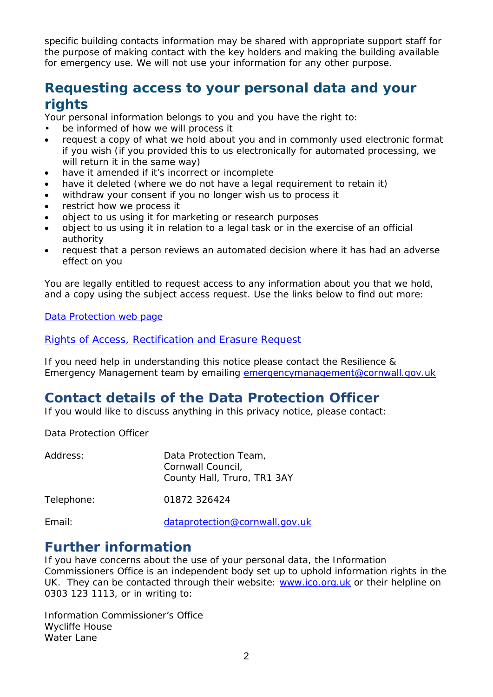specific building contacts information may be shared with appropriate support staff for the purpose of making contact with the key holders and making the building available for emergency use. We will not use your information for any other purpose.

### **Requesting access to your personal data and your rights**

Your personal information belongs to you and you have the right to:

- be informed of how we will process it
- request a copy of what we hold about you and in commonly used electronic format if you wish (if you provided this to us electronically for automated processing, we will return it in the same way)
- have it amended if it's incorrect or incomplete
- have it deleted (where we do not have a legal requirement to retain it)
- withdraw your consent if you no longer wish us to process it
- restrict how we process it
- object to us using it for marketing or research purposes
- object to us using it in relation to a legal task or in the exercise of an official authority
- request that a person reviews an automated decision where it has had an adverse effect on you

You are legally entitled to request access to any information about you that we hold, and a copy using the subject access request. Use the links below to find out more:

[Data Protection web page](http://www.cornwall.gov.uk/council-and-democracy/data-protection-and-freedom-of-information/data-protection)

#### [Rights of Access, Rectification and Erasure Request](https://www.cornwall.gov.uk/media/33315555/form-2018-rare-form-blank.pdf)

If you need help in understanding this notice please contact the Resilience & Emergency Management team by emailing [emergencymanagement@cornwall.gov.uk](mailto:emergencymanagement@cornwall.gov.uk)

#### **Contact details of the Data Protection Officer**

If you would like to discuss anything in this privacy notice, please contact:

Data Protection Officer

| Address:   | Data Protection Team,<br>Cornwall Council,<br>County Hall, Truro, TR1 3AY |
|------------|---------------------------------------------------------------------------|
| Telephone: | 01872 326424                                                              |
| Email:     | dataprotection@cornwall.gov.uk                                            |

#### **Further information**

If you have concerns about the use of your personal data, the Information Commissioners Office is an independent body set up to uphold information rights in the UK. They can be contacted through their website: [www.ico.org.uk](http://www.ico.org.uk/) or their helpline on 0303 123 1113, or in writing to:

Information Commissioner's Office Wycliffe House Water Lane